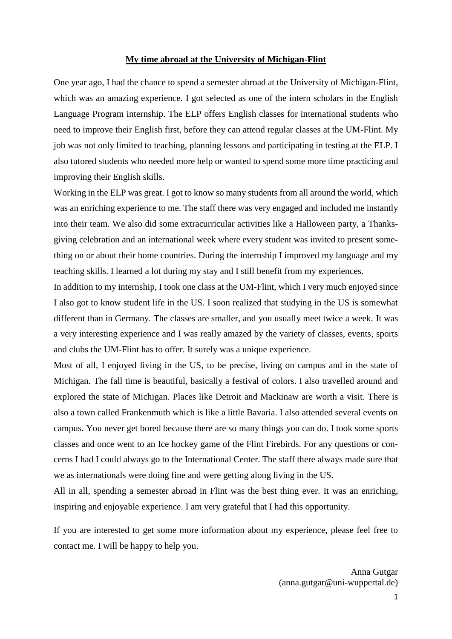#### **My time abroad at the University of Michigan-Flint**

One year ago, I had the chance to spend a semester abroad at the University of Michigan-Flint, which was an amazing experience. I got selected as one of the intern scholars in the English Language Program internship. The ELP offers English classes for international students who need to improve their English first, before they can attend regular classes at the UM-Flint. My job was not only limited to teaching, planning lessons and participating in testing at the ELP. I also tutored students who needed more help or wanted to spend some more time practicing and improving their English skills.

Working in the ELP was great. I got to know so many students from all around the world, which was an enriching experience to me. The staff there was very engaged and included me instantly into their team. We also did some extracurricular activities like a Halloween party, a Thanksgiving celebration and an international week where every student was invited to present something on or about their home countries. During the internship I improved my language and my teaching skills. I learned a lot during my stay and I still benefit from my experiences.

In addition to my internship, I took one class at the UM-Flint, which I very much enjoyed since I also got to know student life in the US. I soon realized that studying in the US is somewhat different than in Germany. The classes are smaller, and you usually meet twice a week. It was a very interesting experience and I was really amazed by the variety of classes, events, sports and clubs the UM-Flint has to offer. It surely was a unique experience.

Most of all, I enjoyed living in the US, to be precise, living on campus and in the state of Michigan. The fall time is beautiful, basically a festival of colors. I also travelled around and explored the state of Michigan. Places like Detroit and Mackinaw are worth a visit. There is also a town called Frankenmuth which is like a little Bavaria. I also attended several events on campus. You never get bored because there are so many things you can do. I took some sports classes and once went to an Ice hockey game of the Flint Firebirds. For any questions or concerns I had I could always go to the International Center. The staff there always made sure that we as internationals were doing fine and were getting along living in the US.

All in all, spending a semester abroad in Flint was the best thing ever. It was an enriching, inspiring and enjoyable experience. I am very grateful that I had this opportunity.

If you are interested to get some more information about my experience, please feel free to contact me. I will be happy to help you.

> Anna Gutgar (anna.gutgar@uni-wuppertal.de)